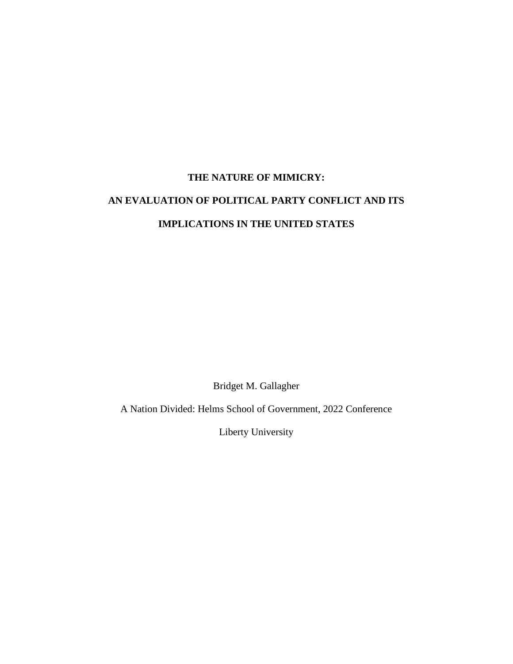## **THE NATURE OF MIMICRY: AN EVALUATION OF POLITICAL PARTY CONFLICT AND ITS IMPLICATIONS IN THE UNITED STATES**

Bridget M. Gallagher

A Nation Divided: Helms School of Government, 2022 Conference

Liberty University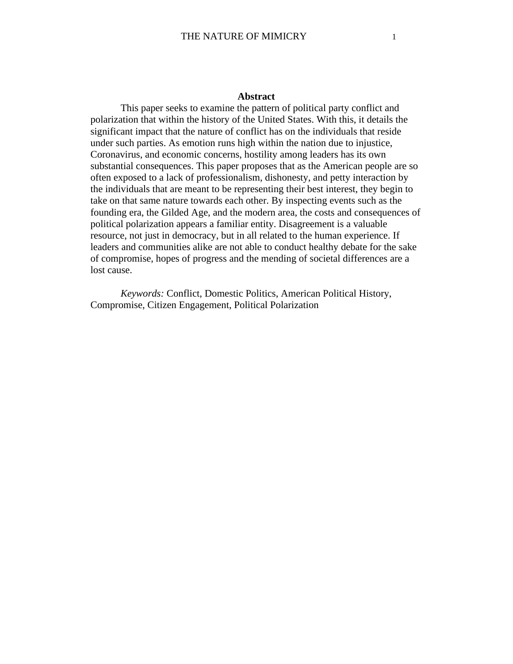## **Abstract**

This paper seeks to examine the pattern of political party conflict and polarization that within the history of the United States. With this, it details the significant impact that the nature of conflict has on the individuals that reside under such parties. As emotion runs high within the nation due to injustice, Coronavirus, and economic concerns, hostility among leaders has its own substantial consequences. This paper proposes that as the American people are so often exposed to a lack of professionalism, dishonesty, and petty interaction by the individuals that are meant to be representing their best interest, they begin to take on that same nature towards each other. By inspecting events such as the founding era, the Gilded Age, and the modern area, the costs and consequences of political polarization appears a familiar entity. Disagreement is a valuable resource, not just in democracy, but in all related to the human experience. If leaders and communities alike are not able to conduct healthy debate for the sake of compromise, hopes of progress and the mending of societal differences are a lost cause.

*Keywords:* Conflict, Domestic Politics, American Political History, Compromise, Citizen Engagement, Political Polarization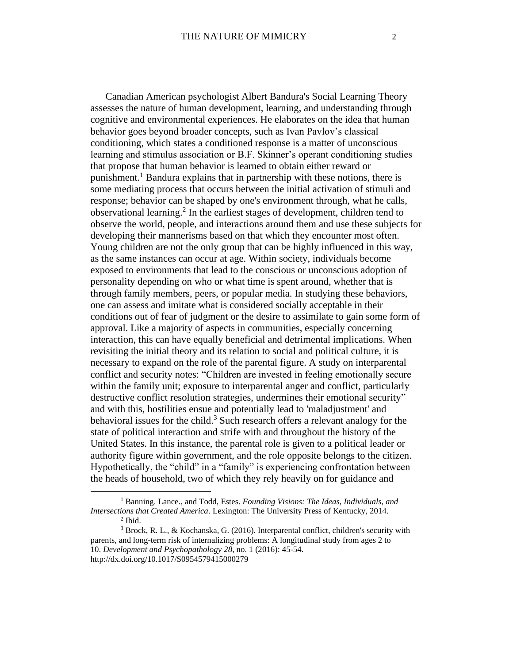Canadian American psychologist Albert Bandura's Social Learning Theory assesses the nature of human development, learning, and understanding through cognitive and environmental experiences. He elaborates on the idea that human behavior goes beyond broader concepts, such as Ivan Pavlov's classical conditioning, which states a conditioned response is a matter of unconscious learning and stimulus association or B.F. Skinner's operant conditioning studies that propose that human behavior is learned to obtain either reward or punishment.<sup>1</sup> Bandura explains that in partnership with these notions, there is some mediating process that occurs between the initial activation of stimuli and response; behavior can be shaped by one's environment through, what he calls, observational learning.<sup>2</sup> In the earliest stages of development, children tend to observe the world, people, and interactions around them and use these subjects for developing their mannerisms based on that which they encounter most often. Young children are not the only group that can be highly influenced in this way, as the same instances can occur at age. Within society, individuals become exposed to environments that lead to the conscious or unconscious adoption of personality depending on who or what time is spent around, whether that is through family members, peers, or popular media. In studying these behaviors, one can assess and imitate what is considered socially acceptable in their conditions out of fear of judgment or the desire to assimilate to gain some form of approval. Like a majority of aspects in communities, especially concerning interaction, this can have equally beneficial and detrimental implications. When revisiting the initial theory and its relation to social and political culture, it is necessary to expand on the role of the parental figure. A study on interparental conflict and security notes: "Children are invested in feeling emotionally secure within the family unit; exposure to interparental anger and conflict, particularly destructive conflict resolution strategies, undermines their emotional security" and with this, hostilities ensue and potentially lead to 'maladjustment' and behavioral issues for the child.<sup>3</sup> Such research offers a relevant analogy for the state of political interaction and strife with and throughout the history of the United States. In this instance, the parental role is given to a political leader or authority figure within government, and the role opposite belongs to the citizen. Hypothetically, the "child" in a "family" is experiencing confrontation between the heads of household, two of which they rely heavily on for guidance and

<sup>1</sup> Banning. Lance., and Todd, Estes. *Founding Visions: The Ideas, Individuals, and Intersections that Created America*. Lexington: The University Press of Kentucky, 2014.  $<sup>2</sup>$  Ibid.</sup>

<sup>3</sup> Brock, R. L., & Kochanska, G. (2016). Interparental conflict, children's security with parents, and long-term risk of internalizing problems: A longitudinal study from ages 2 to 10. *Development and Psychopathology 28,* no. 1 (2016): 45-54. http://dx.doi.org/10.1017/S0954579415000279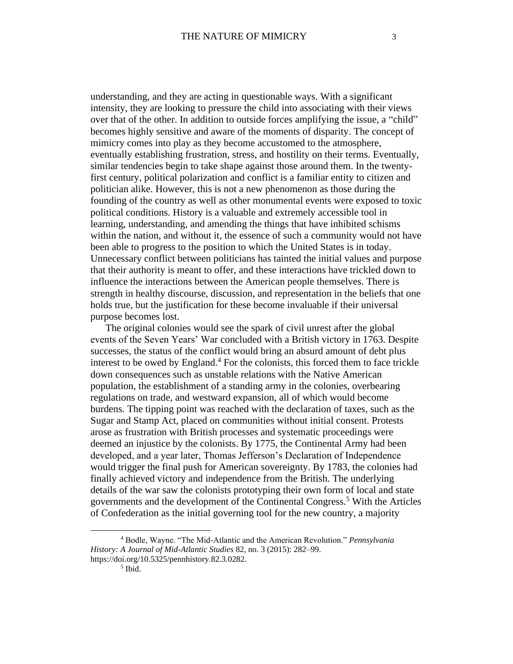understanding, and they are acting in questionable ways. With a significant intensity, they are looking to pressure the child into associating with their views over that of the other. In addition to outside forces amplifying the issue, a "child" becomes highly sensitive and aware of the moments of disparity. The concept of mimicry comes into play as they become accustomed to the atmosphere, eventually establishing frustration, stress, and hostility on their terms. Eventually, similar tendencies begin to take shape against those around them. In the twentyfirst century, political polarization and conflict is a familiar entity to citizen and politician alike. However, this is not a new phenomenon as those during the founding of the country as well as other monumental events were exposed to toxic political conditions. History is a valuable and extremely accessible tool in learning, understanding, and amending the things that have inhibited schisms within the nation, and without it, the essence of such a community would not have been able to progress to the position to which the United States is in today. Unnecessary conflict between politicians has tainted the initial values and purpose that their authority is meant to offer, and these interactions have trickled down to influence the interactions between the American people themselves. There is strength in healthy discourse, discussion, and representation in the beliefs that one holds true, but the justification for these become invaluable if their universal purpose becomes lost.

The original colonies would see the spark of civil unrest after the global events of the Seven Years' War concluded with a British victory in 1763. Despite successes, the status of the conflict would bring an absurd amount of debt plus interest to be owed by England. <sup>4</sup> For the colonists, this forced them to face trickle down consequences such as unstable relations with the Native American population, the establishment of a standing army in the colonies, overbearing regulations on trade, and westward expansion, all of which would become burdens. The tipping point was reached with the declaration of taxes, such as the Sugar and Stamp Act, placed on communities without initial consent. Protests arose as frustration with British processes and systematic proceedings were deemed an injustice by the colonists. By 1775, the Continental Army had been developed, and a year later, Thomas Jefferson's Declaration of Independence would trigger the final push for American sovereignty. By 1783, the colonies had finally achieved victory and independence from the British. The underlying details of the war saw the colonists prototyping their own form of local and state governments and the development of the Continental Congress.<sup>5</sup> With the Articles of Confederation as the initial governing tool for the new country, a majority

<sup>4</sup> Bodle, Wayne. "The Mid-Atlantic and the American Revolution." *Pennsylvania History: A Journal of Mid-Atlantic Studies* 82, no. 3 (2015): 282–99. https://doi.org/10.5325/pennhistory.82.3.0282.

<sup>5</sup> Ibid.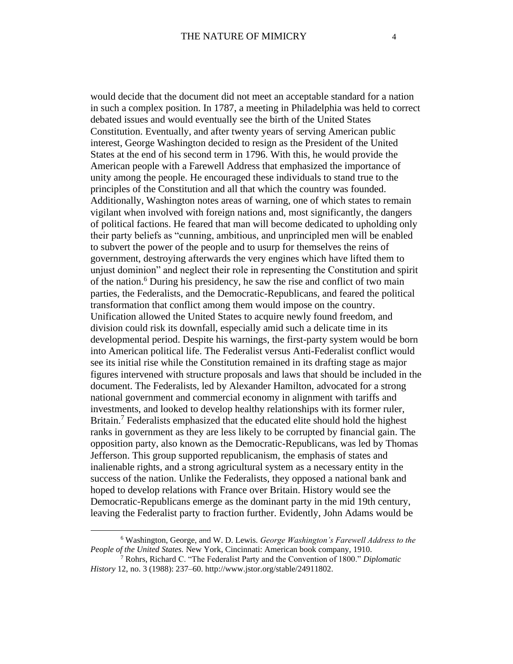would decide that the document did not meet an acceptable standard for a nation in such a complex position. In 1787, a meeting in Philadelphia was held to correct debated issues and would eventually see the birth of the United States Constitution. Eventually, and after twenty years of serving American public interest, George Washington decided to resign as the President of the United States at the end of his second term in 1796. With this, he would provide the American people with a Farewell Address that emphasized the importance of unity among the people. He encouraged these individuals to stand true to the principles of the Constitution and all that which the country was founded. Additionally, Washington notes areas of warning, one of which states to remain vigilant when involved with foreign nations and, most significantly, the dangers of political factions. He feared that man will become dedicated to upholding only their party beliefs as "cunning, ambitious, and unprincipled men will be enabled to subvert the power of the people and to usurp for themselves the reins of government, destroying afterwards the very engines which have lifted them to unjust dominion" and neglect their role in representing the Constitution and spirit of the nation.<sup>6</sup> During his presidency, he saw the rise and conflict of two main parties, the Federalists, and the Democratic-Republicans, and feared the political transformation that conflict among them would impose on the country. Unification allowed the United States to acquire newly found freedom, and division could risk its downfall, especially amid such a delicate time in its developmental period. Despite his warnings, the first-party system would be born into American political life. The Federalist versus Anti-Federalist conflict would see its initial rise while the Constitution remained in its drafting stage as major figures intervened with structure proposals and laws that should be included in the document. The Federalists, led by Alexander Hamilton, advocated for a strong national government and commercial economy in alignment with tariffs and investments, and looked to develop healthy relationships with its former ruler, Britain.<sup>7</sup> Federalists emphasized that the educated elite should hold the highest ranks in government as they are less likely to be corrupted by financial gain. The opposition party, also known as the Democratic-Republicans, was led by Thomas Jefferson. This group supported republicanism, the emphasis of states and inalienable rights, and a strong agricultural system as a necessary entity in the success of the nation. Unlike the Federalists, they opposed a national bank and hoped to develop relations with France over Britain. History would see the Democratic-Republicans emerge as the dominant party in the mid 19th century, leaving the Federalist party to fraction further. Evidently, John Adams would be

<sup>6</sup> Washington, George, and W. D. Lewis. *George Washington's Farewell Address to the People of the United States.* New York, Cincinnati: American book company, 1910.

<sup>7</sup> Rohrs, Richard C. "The Federalist Party and the Convention of 1800." *Diplomatic History* 12, no. 3 (1988): 237–60. http://www.jstor.org/stable/24911802.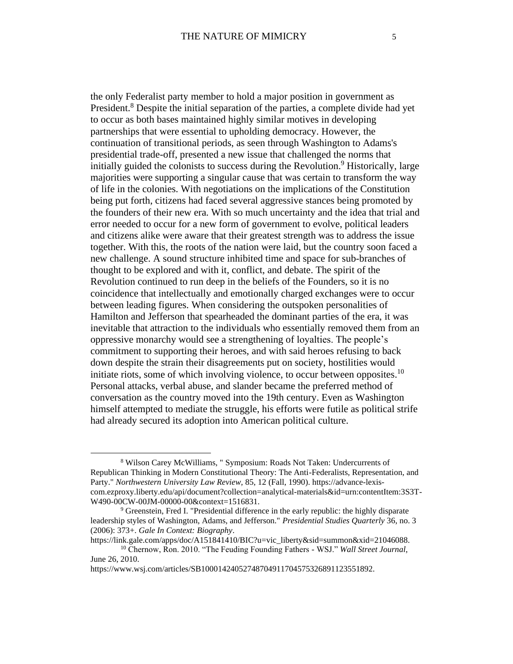the only Federalist party member to hold a major position in government as President.<sup>8</sup> Despite the initial separation of the parties, a complete divide had yet to occur as both bases maintained highly similar motives in developing partnerships that were essential to upholding democracy. However, the continuation of transitional periods, as seen through Washington to Adams's presidential trade-off, presented a new issue that challenged the norms that initially guided the colonists to success during the Revolution.<sup>9</sup> Historically, large majorities were supporting a singular cause that was certain to transform the way of life in the colonies. With negotiations on the implications of the Constitution being put forth, citizens had faced several aggressive stances being promoted by the founders of their new era. With so much uncertainty and the idea that trial and error needed to occur for a new form of government to evolve, political leaders and citizens alike were aware that their greatest strength was to address the issue together. With this, the roots of the nation were laid, but the country soon faced a new challenge. A sound structure inhibited time and space for sub-branches of thought to be explored and with it, conflict, and debate. The spirit of the Revolution continued to run deep in the beliefs of the Founders, so it is no coincidence that intellectually and emotionally charged exchanges were to occur between leading figures. When considering the outspoken personalities of Hamilton and Jefferson that spearheaded the dominant parties of the era, it was inevitable that attraction to the individuals who essentially removed them from an oppressive monarchy would see a strengthening of loyalties. The people's commitment to supporting their heroes, and with said heroes refusing to back down despite the strain their disagreements put on society, hostilities would initiate riots, some of which involving violence, to occur between opposites.<sup>10</sup> Personal attacks, verbal abuse, and slander became the preferred method of conversation as the country moved into the 19th century. Even as Washington himself attempted to mediate the struggle, his efforts were futile as political strife had already secured its adoption into American political culture.

<sup>8</sup> Wilson Carey McWilliams, " Symposium: Roads Not Taken: Undercurrents of Republican Thinking in Modern Constitutional Theory: The Anti-Federalists, Representation, and Party." *Northwestern University Law Review,* 85, 12 (Fall, 1990). https://advance-lexiscom.ezproxy.liberty.edu/api/document?collection=analytical-materials&id=urn:contentItem:3S3T-W490-00CW-00JM-00000-00&context=1516831.

 $9$  Greenstein, Fred I. "Presidential difference in the early republic: the highly disparate leadership styles of Washington, Adams, and Jefferson." *Presidential Studies Quarterly* 36, no. 3 (2006): 373+. *Gale In Context: Biography*.

https://link.gale.com/apps/doc/A151841410/BIC?u=vic\_liberty&sid=summon&xid=21046088. <sup>10</sup> Chernow, Ron. 2010. "The Feuding Founding Fathers - WSJ." *Wall Street Journal*, June 26, 2010.

https://www.wsj.com/articles/SB10001424052748704911704575326891123551892.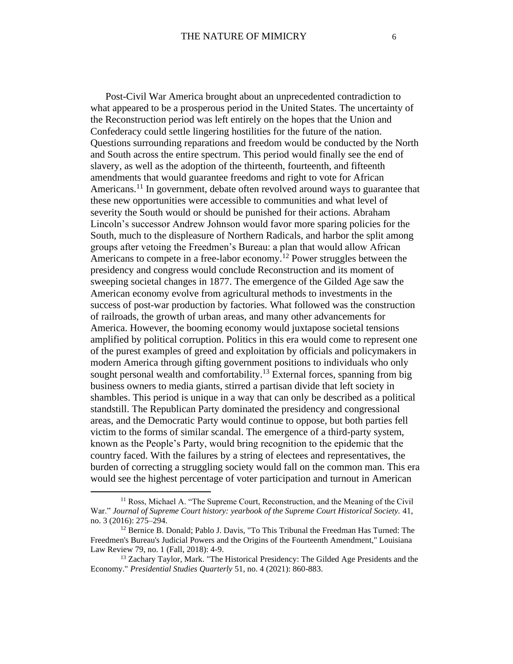Post-Civil War America brought about an unprecedented contradiction to what appeared to be a prosperous period in the United States. The uncertainty of the Reconstruction period was left entirely on the hopes that the Union and Confederacy could settle lingering hostilities for the future of the nation. Questions surrounding reparations and freedom would be conducted by the North and South across the entire spectrum. This period would finally see the end of slavery, as well as the adoption of the thirteenth, fourteenth, and fifteenth amendments that would guarantee freedoms and right to vote for African Americans.<sup>11</sup> In government, debate often revolved around ways to guarantee that these new opportunities were accessible to communities and what level of severity the South would or should be punished for their actions. Abraham Lincoln's successor Andrew Johnson would favor more sparing policies for the South, much to the displeasure of Northern Radicals, and harbor the split among groups after vetoing the Freedmen's Bureau: a plan that would allow African Americans to compete in a free-labor economy.<sup>12</sup> Power struggles between the presidency and congress would conclude Reconstruction and its moment of sweeping societal changes in 1877. The emergence of the Gilded Age saw the American economy evolve from agricultural methods to investments in the success of post-war production by factories. What followed was the construction of railroads, the growth of urban areas, and many other advancements for America. However, the booming economy would juxtapose societal tensions amplified by political corruption. Politics in this era would come to represent one of the purest examples of greed and exploitation by officials and policymakers in modern America through gifting government positions to individuals who only sought personal wealth and comfortability.<sup>13</sup> External forces, spanning from big business owners to media giants, stirred a partisan divide that left society in shambles. This period is unique in a way that can only be described as a political standstill. The Republican Party dominated the presidency and congressional areas, and the Democratic Party would continue to oppose, but both parties fell victim to the forms of similar scandal. The emergence of a third-party system, known as the People's Party, would bring recognition to the epidemic that the country faced. With the failures by a string of electees and representatives, the burden of correcting a struggling society would fall on the common man. This era would see the highest percentage of voter participation and turnout in American

<sup>&</sup>lt;sup>11</sup> Ross, Michael A. "The Supreme Court, Reconstruction, and the Meaning of the Civil War." *Journal of Supreme Court history: yearbook of the Supreme Court Historical Society.* 41, no. 3 (2016): 275–294.

<sup>12</sup> Bernice B. Donald; Pablo J. Davis, "To This Tribunal the Freedman Has Turned: The Freedmen's Bureau's Judicial Powers and the Origins of the Fourteenth Amendment," Louisiana Law Review 79, no. 1 (Fall, 2018): 4-9.

<sup>&</sup>lt;sup>13</sup> Zachary Taylor, Mark. "The Historical Presidency: The Gilded Age Presidents and the Economy." *Presidential Studies Quarterly* 51, no. 4 (2021): 860-883.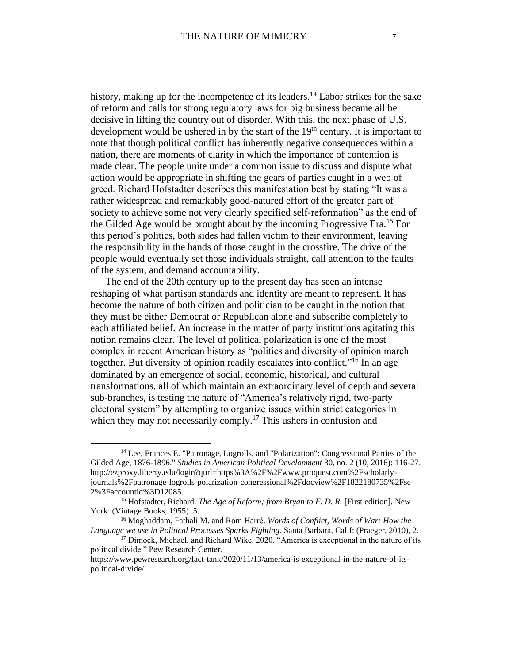history, making up for the incompetence of its leaders.<sup>14</sup> Labor strikes for the sake of reform and calls for strong regulatory laws for big business became all be decisive in lifting the country out of disorder. With this, the next phase of U.S. development would be ushered in by the start of the  $19<sup>th</sup>$  century. It is important to note that though political conflict has inherently negative consequences within a nation, there are moments of clarity in which the importance of contention is made clear. The people unite under a common issue to discuss and dispute what action would be appropriate in shifting the gears of parties caught in a web of greed. Richard Hofstadter describes this manifestation best by stating "It was a rather widespread and remarkably good-natured effort of the greater part of society to achieve some not very clearly specified self-reformation" as the end of the Gilded Age would be brought about by the incoming Progressive Era.<sup>15</sup> For this period's politics, both sides had fallen victim to their environment, leaving the responsibility in the hands of those caught in the crossfire. The drive of the people would eventually set those individuals straight, call attention to the faults of the system, and demand accountability.

The end of the 20th century up to the present day has seen an intense reshaping of what partisan standards and identity are meant to represent. It has become the nature of both citizen and politician to be caught in the notion that they must be either Democrat or Republican alone and subscribe completely to each affiliated belief. An increase in the matter of party institutions agitating this notion remains clear. The level of political polarization is one of the most complex in recent American history as "politics and diversity of opinion march together. But diversity of opinion readily escalates into conflict."<sup>16</sup> In an age dominated by an emergence of social, economic, historical, and cultural transformations, all of which maintain an extraordinary level of depth and several sub-branches, is testing the nature of "America's relatively rigid, two-party electoral system" by attempting to organize issues within strict categories in which they may not necessarily comply.<sup>17</sup> This ushers in confusion and

<sup>16</sup> Moghaddam, Fathali M. and Rom Harré. *Words of Conflict, Words of War: How the Language we use in Political Processes Sparks Fighting*. Santa Barbara, Calif: (Praeger, 2010), 2.

<sup>14</sup> Lee, Frances E. "Patronage, Logrolls, and "Polarization": Congressional Parties of the Gilded Age, 1876-1896." *Studies in American Political Development* 30, no. 2 (10, 2016): 116-27. http://ezproxy.liberty.edu/login?qurl=https%3A%2F%2Fwww.proquest.com%2Fscholarlyjournals%2Fpatronage-logrolls-polarization-congressional%2Fdocview%2F1822180735%2Fse-2%3Faccountid%3D12085.

<sup>15</sup> Hofstadter, Richard. *The Age of Reform; from Bryan to F. D. R.* [First edition]. New York: (Vintage Books, 1955): 5.

<sup>&</sup>lt;sup>17</sup> Dimock, Michael, and Richard Wike. 2020. "America is exceptional in the nature of its political divide." Pew Research Center.

https://www.pewresearch.org/fact-tank/2020/11/13/america-is-exceptional-in-the-nature-of-itspolitical-divide/.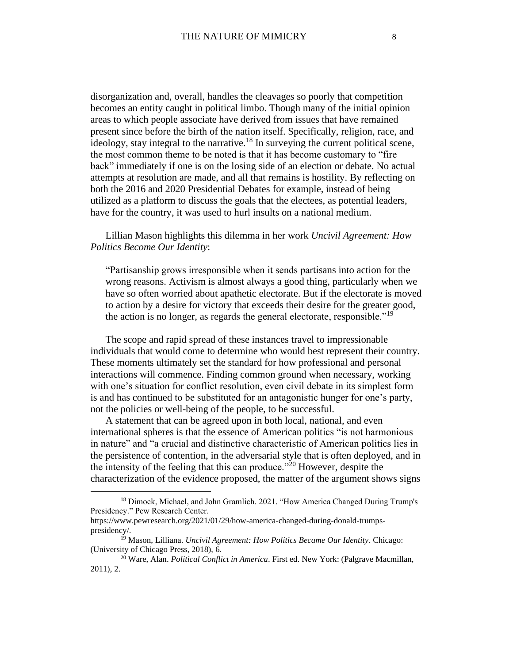disorganization and, overall, handles the cleavages so poorly that competition becomes an entity caught in political limbo. Though many of the initial opinion areas to which people associate have derived from issues that have remained present since before the birth of the nation itself. Specifically, religion, race, and ideology, stay integral to the narrative.<sup>18</sup> In surveying the current political scene, the most common theme to be noted is that it has become customary to "fire back" immediately if one is on the losing side of an election or debate. No actual attempts at resolution are made, and all that remains is hostility. By reflecting on both the 2016 and 2020 Presidential Debates for example, instead of being utilized as a platform to discuss the goals that the electees, as potential leaders, have for the country, it was used to hurl insults on a national medium.

Lillian Mason highlights this dilemma in her work *Uncivil Agreement: How Politics Become Our Identity*:

"Partisanship grows irresponsible when it sends partisans into action for the wrong reasons. Activism is almost always a good thing, particularly when we have so often worried about apathetic electorate. But if the electorate is moved to action by a desire for victory that exceeds their desire for the greater good, the action is no longer, as regards the general electorate, responsible."<sup>19</sup>

The scope and rapid spread of these instances travel to impressionable individuals that would come to determine who would best represent their country. These moments ultimately set the standard for how professional and personal interactions will commence. Finding common ground when necessary, working with one's situation for conflict resolution, even civil debate in its simplest form is and has continued to be substituted for an antagonistic hunger for one's party, not the policies or well-being of the people, to be successful.

A statement that can be agreed upon in both local, national, and even international spheres is that the essence of American politics "is not harmonious in nature" and "a crucial and distinctive characteristic of American politics lies in the persistence of contention, in the adversarial style that is often deployed, and in the intensity of the feeling that this can produce."<sup>20</sup> However, despite the characterization of the evidence proposed, the matter of the argument shows signs

<sup>18</sup> Dimock, Michael, and John Gramlich. 2021. "How America Changed During Trump's Presidency." Pew Research Center.

https://www.pewresearch.org/2021/01/29/how-america-changed-during-donald-trumpspresidency/.

<sup>19</sup> Mason, Lilliana. *Uncivil Agreement: How Politics Became Our Identity*. Chicago: (University of Chicago Press, 2018), 6.

<sup>20</sup> Ware, Alan. *Political Conflict in America*. First ed. New York: (Palgrave Macmillan, 2011), 2.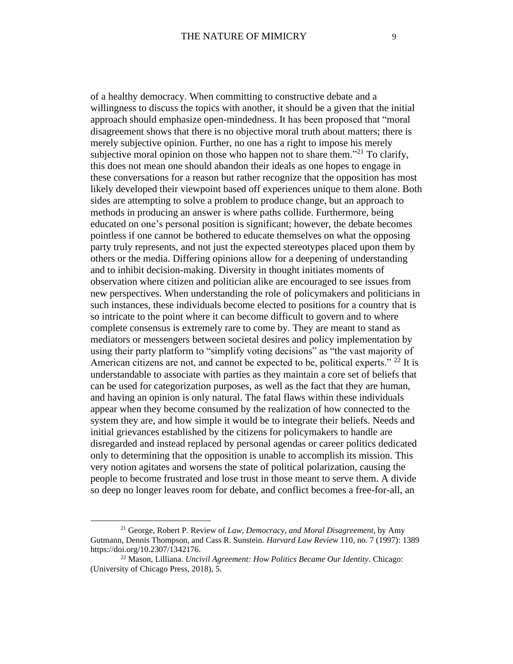of a healthy democracy. When committing to constructive debate and a willingness to discuss the topics with another, it should be a given that the initial approach should emphasize open-mindedness. It has been proposed that "moral disagreement shows that there is no objective moral truth about matters; there is merely subjective opinion. Further, no one has a right to impose his merely subjective moral opinion on those who happen not to share them."<sup>21</sup> To clarify, this does not mean one should abandon their ideals as one hopes to engage in these conversations for a reason but rather recognize that the opposition has most likely developed their viewpoint based off experiences unique to them alone. Both sides are attempting to solve a problem to produce change, but an approach to methods in producing an answer is where paths collide. Furthermore, being educated on one's personal position is significant; however, the debate becomes pointless if one cannot be bothered to educate themselves on what the opposing party truly represents, and not just the expected stereotypes placed upon them by others or the media. Differing opinions allow for a deepening of understanding and to inhibit decision-making. Diversity in thought initiates moments of observation where citizen and politician alike are encouraged to see issues from new perspectives. When understanding the role of policymakers and politicians in such instances, these individuals become elected to positions for a country that is so intricate to the point where it can become difficult to govern and to where complete consensus is extremely rare to come by. They are meant to stand as mediators or messengers between societal desires and policy implementation by using their party platform to "simplify voting decisions" as "the vast majority of American citizens are not, and cannot be expected to be, political experts." <sup>22</sup> It is understandable to associate with parties as they maintain a core set of beliefs that can be used for categorization purposes, as well as the fact that they are human, and having an opinion is only natural. The fatal flaws within these individuals appear when they become consumed by the realization of how connected to the system they are, and how simple it would be to integrate their beliefs. Needs and initial grievances established by the citizens for policymakers to handle are disregarded and instead replaced by personal agendas or career politics dedicated only to determining that the opposition is unable to accomplish its mission. This very notion agitates and worsens the state of political polarization, causing the people to become frustrated and lose trust in those meant to serve them. A divide so deep no longer leaves room for debate, and conflict becomes a free-for-all, an

<sup>21</sup> George, Robert P. Review of *Law, Democracy, and Moral Disagreement*, by Amy Gutmann, Dennis Thompson, and Cass R. Sunstein. *Harvard Law Review* 110, no. 7 (1997): 1389 https://doi.org/10.2307/1342176.

<sup>22</sup> Mason, Lilliana. *Uncivil Agreement: How Politics Became Our Identity*. Chicago: (University of Chicago Press, 2018), 5.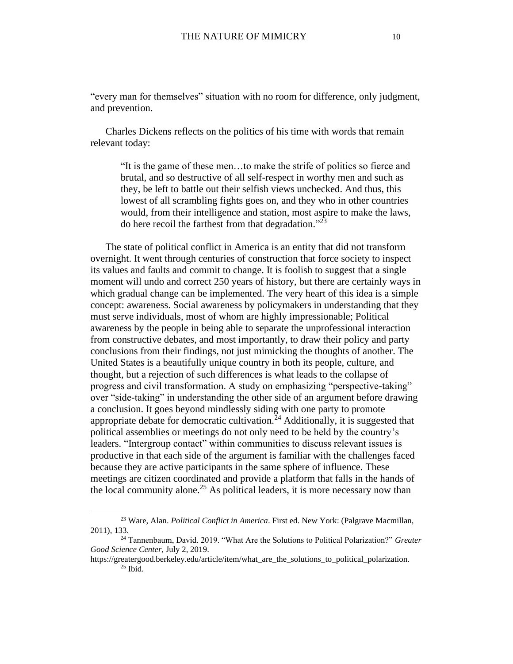"every man for themselves" situation with no room for difference, only judgment, and prevention.

Charles Dickens reflects on the politics of his time with words that remain relevant today:

"It is the game of these men…to make the strife of politics so fierce and brutal, and so destructive of all self-respect in worthy men and such as they, be left to battle out their selfish views unchecked. And thus, this lowest of all scrambling fights goes on, and they who in other countries would, from their intelligence and station, most aspire to make the laws, do here recoil the farthest from that degradation." 23

The state of political conflict in America is an entity that did not transform overnight. It went through centuries of construction that force society to inspect its values and faults and commit to change. It is foolish to suggest that a single moment will undo and correct 250 years of history, but there are certainly ways in which gradual change can be implemented. The very heart of this idea is a simple concept: awareness. Social awareness by policymakers in understanding that they must serve individuals, most of whom are highly impressionable; Political awareness by the people in being able to separate the unprofessional interaction from constructive debates, and most importantly, to draw their policy and party conclusions from their findings, not just mimicking the thoughts of another. The United States is a beautifully unique country in both its people, culture, and thought, but a rejection of such differences is what leads to the collapse of progress and civil transformation. A study on emphasizing "perspective-taking" over "side-taking" in understanding the other side of an argument before drawing a conclusion. It goes beyond mindlessly siding with one party to promote appropriate debate for democratic cultivation.<sup>24</sup> Additionally, it is suggested that political assemblies or meetings do not only need to be held by the country's leaders. "Intergroup contact" within communities to discuss relevant issues is productive in that each side of the argument is familiar with the challenges faced because they are active participants in the same sphere of influence. These meetings are citizen coordinated and provide a platform that falls in the hands of the local community alone.<sup>25</sup> As political leaders, it is more necessary now than

<sup>23</sup> Ware, Alan. *Political Conflict in America*. First ed. New York: (Palgrave Macmillan, 2011), 133.

<sup>24</sup> Tannenbaum, David. 2019. "What Are the Solutions to Political Polarization?" *Greater Good Science Center*, July 2, 2019.

https://greatergood.berkeley.edu/article/item/what\_are\_the\_solutions\_to\_political\_polarization.  $25$  Ibid.